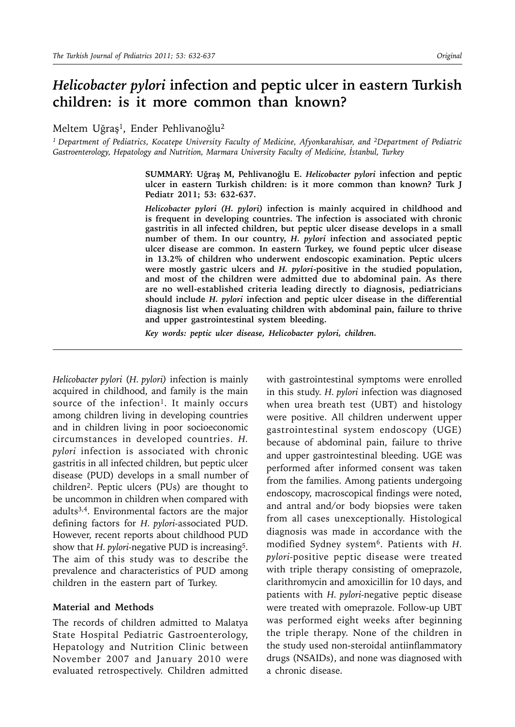# *Helicobacter pylori* **infection and peptic ulcer in eastern Turkish children: is it more common than known?**

Meltem Uğraş<sup>1</sup>, Ender Pehlivanoğlu<sup>2</sup>

*1 Department of Pediatrics, Kocatepe University Faculty of Medicine, Afyonkarahisar, and 2Department of Pediatric Gastroenterology, Hepatology and Nutrition, Marmara University Faculty of Medicine, İstanbul, Turkey*

> **SUMMARY: Uğraş M, Pehlivanoğlu E.** *Helicobacter pylori* **infection and peptic ulcer in eastern Turkish children: is it more common than known? Turk J Pediatr 2011; 53: 632-637.**

> *Helicobacter pylori (H. pylori)* **infection is mainly acquired in childhood and is frequent in developing countries. The infection is associated with chronic gastritis in all infected children, but peptic ulcer disease develops in a small number of them. In our country,** *H. pylori* **infection and associated peptic ulcer disease are common. In eastern Turkey, we found peptic ulcer disease in 13.2% of children who underwent endoscopic examination. Peptic ulcers were mostly gastric ulcers and** *H. pylori***-positive in the studied population, and most of the children were admitted due to abdominal pain. As there are no well-established criteria leading directly to diagnosis, pediatricians should include** *H. pylori* **infection and peptic ulcer disease in the differential diagnosis list when evaluating children with abdominal pain, failure to thrive and upper gastrointestinal system bleeding.**

*Key words: peptic ulcer disease, Helicobacter pylori, children.*

*Helicobacter pylori* (*H. pylori)* infection is mainly acquired in childhood, and family is the main source of the infection<sup>1</sup>. It mainly occurs among children living in developing countries and in children living in poor socioeconomic circumstances in developed countries. *H. pylori* infection is associated with chronic gastritis in all infected children, but peptic ulcer disease (PUD) develops in a small number of children2. Peptic ulcers (PUs) are thought to be uncommon in children when compared with adults3,4. Environmental factors are the major defining factors for *H. pylori-*associated PUD. However, recent reports about childhood PUD show that *H. pylori-negative PUD* is increasing<sup>5</sup>. The aim of this study was to describe the prevalence and characteristics of PUD among children in the eastern part of Turkey.

### **Material and Methods**

The records of children admitted to Malatya State Hospital Pediatric Gastroenterology, Hepatology and Nutrition Clinic between November 2007 and January 2010 were evaluated retrospectively. Children admitted with gastrointestinal symptoms were enrolled in this study. *H. pylori* infection was diagnosed when urea breath test (UBT) and histology were positive. All children underwent upper gastrointestinal system endoscopy (UGE) because of abdominal pain, failure to thrive and upper gastrointestinal bleeding. UGE was performed after informed consent was taken from the families. Among patients undergoing endoscopy, macroscopical findings were noted, and antral and/or body biopsies were taken from all cases unexceptionally. Histological diagnosis was made in accordance with the modified Sydney system6. Patients with *H. pylori-*positive peptic disease were treated with triple therapy consisting of omeprazole, clarithromycin and amoxicillin for 10 days, and patients with *H. pylori-*negative peptic disease were treated with omeprazole. Follow-up UBT was performed eight weeks after beginning the triple therapy. None of the children in the study used non-steroidal antiinflammatory drugs (NSAIDs), and none was diagnosed with a chronic disease.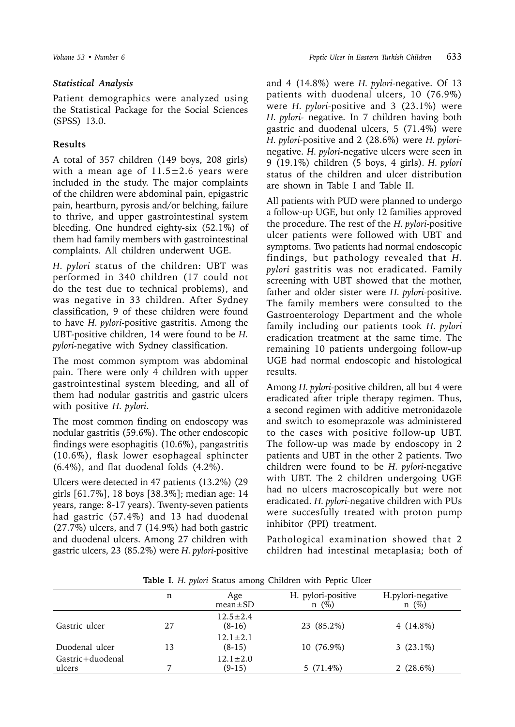## *Statistical Analysis*

Patient demographics were analyzed using the Statistical Package for the Social Sciences (SPSS) 13.0.

## **Results**

A total of 357 children (149 boys, 208 girls) with a mean age of  $11.5 \pm 2.6$  years were included in the study. The major complaints of the children were abdominal pain, epigastric pain, heartburn, pyrosis and/or belching, failure to thrive, and upper gastrointestinal system bleeding. One hundred eighty-six (52.1%) of them had family members with gastrointestinal complaints. All children underwent UGE.

*H. pylori* status of the children: UBT was performed in 340 children (17 could not do the test due to technical problems), and was negative in 33 children. After Sydney classification, 9 of these children were found to have *H. pylori-*positive gastritis. Among the UBT-positive children, 14 were found to be *H. pylori-*negative with Sydney classification.

The most common symptom was abdominal pain. There were only 4 children with upper gastrointestinal system bleeding, and all of them had nodular gastritis and gastric ulcers with positive *H. pylori*.

The most common finding on endoscopy was nodular gastritis (59.6%). The other endoscopic findings were esophagitis (10.6%), pangastritis (10.6%), flask lower esophageal sphincter (6.4%), and flat duodenal folds (4.2%).

Ulcers were detected in 47 patients (13.2%) (29 girls [61.7%], 18 boys [38.3%]; median age: 14 years, range: 8-17 years). Twenty-seven patients had gastric (57.4%) and 13 had duodenal (27.7%) ulcers, and 7 (14.9%) had both gastric and duodenal ulcers. Among 27 children with gastric ulcers, 23 (85.2%) were *H. pylori-*positive

and 4 (14.8%) were *H. pylori-*negative. Of 13 patients with duodenal ulcers, 10 (76.9%) were *H. pylori-*positive and 3 (23.1%) were *H. pylori-* negative. In 7 children having both gastric and duodenal ulcers, 5 (71.4%) were *H. pylori-*positive and 2 (28.6%) were *H. pylori*negative. *H. pylori-*negative ulcers were seen in 9 (19.1%) children (5 boys, 4 girls)*. H. pylori* status of the children and ulcer distribution are shown in Table I and Table II.

All patients with PUD were planned to undergo a follow-up UGE, but only 12 families approved the procedure. The rest of the *H. pylori-*positive ulcer patients were followed with UBT and symptoms. Two patients had normal endoscopic findings, but pathology revealed that *H. pylori* gastritis was not eradicated. Family screening with UBT showed that the mother, father and older sister were *H. pylori-*positive. The family members were consulted to the Gastroenterology Department and the whole family including our patients took *H. pylori* eradication treatment at the same time. The remaining 10 patients undergoing follow-up UGE had normal endoscopic and histological results.

Among *H. pylori-*positive children, all but 4 were eradicated after triple therapy regimen. Thus, a second regimen with additive metronidazole and switch to esomeprazole was administered to the cases with positive follow-up UBT. The follow-up was made by endoscopy in 2 patients and UBT in the other 2 patients. Two children were found to be *H. pylori-*negative with UBT. The 2 children undergoing UGE had no ulcers macroscopically but were not eradicated. *H. pylori-*negative children with PUs were succesfully treated with proton pump inhibitor (PPI) treatment.

Pathological examination showed that 2 children had intestinal metaplasia; both of

|                            | n  | Age<br>$mean \pm SD$       | H. pylori-positive<br>$n \ (\%)$ | H.pylori-negative<br>$n \ (\%)$ |
|----------------------------|----|----------------------------|----------------------------------|---------------------------------|
| Gastric ulcer              | 27 | $12.5 \pm 2.4$<br>$(8-16)$ | 23 (85.2%)                       | $4(14.8\%)$                     |
| Duodenal ulcer             | 13 | $12.1 \pm 2.1$<br>$(8-15)$ | 10 (76.9%)                       | $3(23.1\%)$                     |
| Gastric+duodenal<br>ulcers |    | $12.1 \pm 2.0$<br>$(9-15)$ | $5(71.4\%)$                      | 2 $(28.6\%)$                    |

**Table I**. *H. pylori* Status among Children with Peptic Ulcer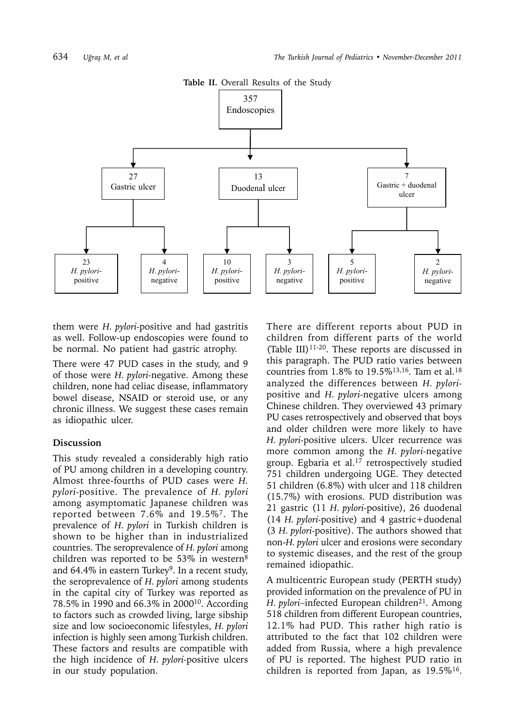

**Table II.** Overall Results of the Study

them were *H. pylori-*positive and had gastritis as well. Follow-up endoscopies were found to be normal. No patient had gastric atrophy.

There were 47 PUD cases in the study, and 9 of those were *H. pylori-*negative. Among these children, none had celiac disease, inflammatory bowel disease, NSAID or steroid use, or any chronic illness. We suggest these cases remain as idiopathic ulcer.

## **Discussion**

This study revealed a considerably high ratio of PU among children in a developing country. Almost three-fourths of PUD cases were *H. pylori-*positive. The prevalence of *H. pylori* among asymptomatic Japanese children was reported between 7.6% and 19.5%7. The prevalence of *H. pylori* in Turkish children is shown to be higher than in industrialized countries. The seroprevalence of *H. pylori* among children was reported to be 53% in western<sup>8</sup> and 64.4% in eastern Turkey<sup>9</sup>. In a recent study, the seroprevalence of *H. pylori* among students in the capital city of Turkey was reported as 78.5% in 1990 and 66.3% in 200010. According to factors such as crowded living, large sibship size and low socioeconomic lifestyles, *H. pylori* infection is highly seen among Turkish children. These factors and results are compatible with the high incidence of *H. pylori-*positive ulcers in our study population.

There are different reports about PUD in children from different parts of the world (Table III) $11-20$ . These reports are discussed in this paragraph. The PUD ratio varies between countries from 1.8% to 19.5%<sup>13,16</sup>. Tam et al.<sup>18</sup> analyzed the differences between *H. pylori*positive and *H. pylori-*negative ulcers among Chinese children. They overviewed 43 primary PU cases retrospectively and observed that boys and older children were more likely to have *H. pylori-*positive ulcers. Ulcer recurrence was more common among the *H. pylori-*negative group. Egbaria et al.17 retrospectively studied 751 children undergoing UGE. They detected 51 children (6.8%) with ulcer and 118 children (15.7%) with erosions. PUD distribution was 21 gastric (11 *H. pylori-*positive), 26 duodenal (14 *H. pylori-*positive) and 4 gastric+duodenal (3 *H. pylori-*positive). The authors showed that non-*H. pylori* ulcer and erosions were secondary to systemic diseases, and the rest of the group remained idiopathic.

A multicentric European study (PERTH study) provided information on the prevalence of PU in *H. pylori*-infected European children<sup>21</sup>. Among 518 children from different European countries, 12.1% had PUD. This rather high ratio is attributed to the fact that 102 children were added from Russia, where a high prevalence of PU is reported. The highest PUD ratio in children is reported from Japan, as  $19.5\%$ <sup>16</sup>.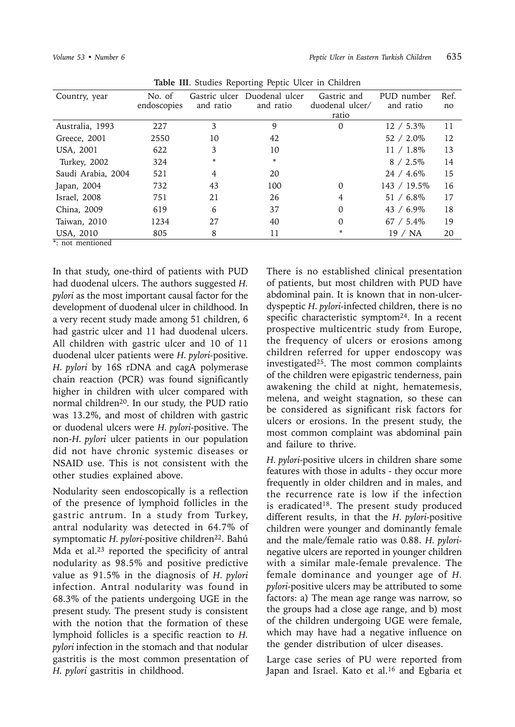| Country, year      | No. of      | Gastric ulcer | Duodenal ulcer | Gastric and     | PUD number   | Ref. |  |  |  |
|--------------------|-------------|---------------|----------------|-----------------|--------------|------|--|--|--|
|                    | endoscopies | and ratio     | and ratio      | duodenal ulcer/ | and ratio    | no   |  |  |  |
|                    |             |               |                | ratio           |              |      |  |  |  |
| Australia, 1993    | 227         | 3             | 9              | 0               | $12 / 5.3\%$ | 11   |  |  |  |
| Greece, 2001       | 2550        | 10            | 42             |                 | $52 / 2.0\%$ | 12   |  |  |  |
| USA, 2001          | 622         | 3             | 10             |                 | $11 / 1.8\%$ | 13   |  |  |  |
| Turkey, 2002       | 324         | *             | *              |                 | $8 / 2.5\%$  | 14   |  |  |  |
| Saudi Arabia, 2004 | 521         | 4             | 20             |                 | $24 / 4.6\%$ | 15   |  |  |  |
| Japan, 2004        | 732         | 43            | 100            | $\Omega$        | 143 / 19.5%  | 16   |  |  |  |
| Israel, 2008       | 751         | 21            | 26             | 4               | $51 / 6.8\%$ | 17   |  |  |  |
| China, 2009        | 619         | 6             | 37             | $\Omega$        | $43 / 6.9\%$ | 18   |  |  |  |
| Taiwan, 2010       | 1234        | 27            | 40             | 0               | $67 / 5.4\%$ | 19   |  |  |  |
| USA, 2010          | 805         | 8             | 11             |                 | ′ NA<br>19   | 20   |  |  |  |

**Table III**. Studies Reporting Peptic Ulcer in Children

\*: not mentioned

In that study, one-third of patients with PUD had duodenal ulcers. The authors suggested *H. pylori* as the most important causal factor for the development of duodenal ulcer in childhood. In a very recent study made among 51 children, 6 had gastric ulcer and 11 had duodenal ulcers. All children with gastric ulcer and 10 of 11 duodenal ulcer patients were *H. pylori-*positive. *H. pylori* by 16S rDNA and cagA polymerase chain reaction (PCR) was found significantly higher in children with ulcer compared with normal children20. In our study, the PUD ratio was 13.2%, and most of children with gastric or duodenal ulcers were *H. pylori-*positive. The non-*H. pylori* ulcer patients in our population did not have chronic systemic diseases or NSAID use. This is not consistent with the other studies explained above.

Nodularity seen endoscopically is a reflection of the presence of lymphoid follicles in the gastric antrum. In a study from Turkey, antral nodularity was detected in 64.7% of symptomatic *H. pylori-positive children<sup>22</sup>. Bahú* Mda et al.23 reported the specificity of antral nodularity as 98.5% and positive predictive value as 91.5% in the diagnosis of *H. pylori* infection. Antral nodularity was found in 68.3% of the patients undergoing UGE in the present study. The present study is consistent with the notion that the formation of these lymphoid follicles is a specific reaction to *H. pylori* infection in the stomach and that nodular gastritis is the most common presentation of *H. pylori* gastritis in childhood.

There is no established clinical presentation of patients, but most children with PUD have abdominal pain. It is known that in non-ulcerdyspeptic *H. pylori-*infected children, there is no specific characteristic symptom24. In a recent prospective multicentric study from Europe, the frequency of ulcers or erosions among children referred for upper endoscopy was investigated<sup>25</sup>. The most common complaints of the children were epigastric tenderness, pain awakening the child at night, hematemesis, melena, and weight stagnation, so these can be considered as significant risk factors for ulcers or erosions. In the present study, the most common complaint was abdominal pain and failure to thrive.

*H. pylori-*positive ulcers in children share some features with those in adults - they occur more frequently in older children and in males, and the recurrence rate is low if the infection is eradicated<sup>18</sup>. The present study produced different results, in that the *H. pylori-*positive children were younger and dominantly female and the male/female ratio was 0.88. *H. pylori*negative ulcers are reported in younger children with a similar male-female prevalence. The female dominance and younger age of *H. pylori-*positive ulcers may be attributed to some factors: a) The mean age range was narrow, so the groups had a close age range, and b) most of the children undergoing UGE were female, which may have had a negative influence on the gender distribution of ulcer diseases.

Large case series of PU were reported from Japan and Israel. Kato et al.<sup>16</sup> and Egbaria et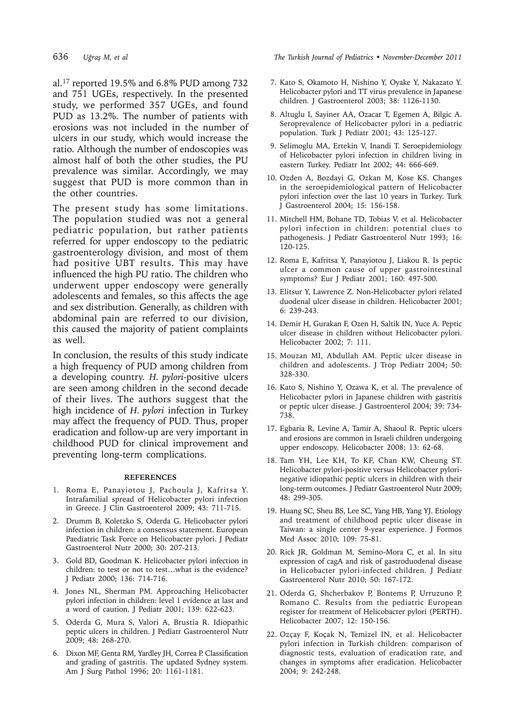al.17 reported 19.5% and 6.8% PUD among 732 and 751 UGEs, respectively. In the presented study, we performed 357 UGEs, and found PUD as 13.2%. The number of patients with erosions was not included in the number of ulcers in our study, which would increase the ratio. Although the number of endoscopies was almost half of both the other studies, the PU prevalence was similar. Accordingly, we may suggest that PUD is more common than in the other countries.

The present study has some limitations. The population studied was not a general pediatric population, but rather patients referred for upper endoscopy to the pediatric gastroenterology division, and most of them had positive UBT results. This may have influenced the high PU ratio. The children who underwent upper endoscopy were generally adolescents and females, so this affects the age and sex distribution. Generally, as children with abdominal pain are referred to our division, this caused the majority of patient complaints as well.

In conclusion, the results of this study indicate a high frequency of PUD among children from a developing country. *H. pylori-*positive ulcers are seen among children in the second decade of their lives. The authors suggest that the high incidence of *H. pylori* infection in Turkey may affect the frequency of PUD. Thus, proper eradication and follow-up are very important in childhood PUD for clinical improvement and preventing long-term complications.

#### **REFERENCES**

- 1. Roma E, Panayiotou J, Pachoula J, Kafritsa Y. Intrafamilial spread of Helicobacter pylori infection in Greece. J Clin Gastroenterol 2009; 43: 711-715.
- 2. Drumm B, Koletzko S, Oderda G. Helicobacter pylori infection in children: a consensus statement. European Paediatric Task Force on Helicobacter pylori. J Pediatr Gastroenterol Nutr 2000; 30: 207-213.
- 3. Gold BD, Goodman K. Helicobacter pylori infection in children: to test or not to test…what is the evidence? J Pediatr 2000; 136: 714-716.
- 4. Jones NL, Sherman PM. Approaching Helicobacter pylori infection in children: level 1 evidence at last and a word of caution. J Pediatr 2001; 139: 622-623.
- 5. Oderda G, Mura S, Valori A, Brustia R. Idiopathic peptic ulcers in children. J Pediatr Gastroenterol Nutr 2009; 48: 268-270.
- 6. Dixon MF, Genta RM, Yardley JH, Correa P. Classification and grading of gastritis. The updated Sydney system. Am J Surg Pathol 1996; 20: 1161-1181.

636 *Uğraş M, et al The Turkish Journal of Pediatrics • November-December 2011*

- 7. Kato S, Okamoto H, Nishino Y, Oyake Y, Nakazato Y. Helicobacter pylori and TT virus prevalence in Japanese children. J Gastroenterol 2003; 38: 1126-1130.
- 8. Altuglu I, Sayiner AA, Ozacar T, Egemen A, Bilgic A. Seroprevalence of Helicobacter pylori in a pediatric population. Turk J Pediatr 2001; 43: 125-127.
- 9. Selimoglu MA, Ertekin V, Inandi T. Seroepidemiology of Helicobacter pylori infection in children living in eastern Turkey. Pediatr Int 2002; 44: 666-669.
- 10. Ozden A, Bozdayi G, Ozkan M, Kose KS. Changes in the seroepidemiological pattern of Helicobacter pylori infection over the last 10 years in Turkey. Turk J Gastroenterol 2004; 15: 156-158.
- 11. Mitchell HM, Bohane TD, Tobias V, et al. Helicobacter pylori infection in children: potential clues to pathogenesis. J Pediatr Gastroenterol Nutr 1993; 16: 120-125.
- 12. Roma E, Kafritsa Y, Panayiotou J, Liakou R. Is peptic ulcer a common cause of upper gastrointestinal symptoms? Eur J Pediatr 2001; 160: 497-500.
- 13. Elitsur Y, Lawrence Z. Non-Helicobacter pylori related duodenal ulcer disease in children. Helicobacter 2001; 6: 239-243.
- 14. Demir H, Gurakan F, Ozen H, Saltik IN, Yuce A. Peptic ulcer disease in children without Helicobacter pylori. Helicobacter 2002; 7: 111.
- 15. Mouzan MI, Abdullah AM. Peptic ulcer disease in children and adolescents. J Trop Pediatr 2004; 50: 328-330.
- 16. Kato S, Nishino Y, Ozawa K, et al. The prevalence of Helicobacter pylori in Japanese children with gastritis or peptic ulcer disease. J Gastroenterol 2004; 39: 734- 738.
- 17. Egbaria R, Levine A, Tamir A, Shaoul R. Peptic ulcers and erosions are common in Israeli children undergoing upper endoscopy. Helicobacter 2008; 13: 62-68.
- 18. Tam YH, Lee KH, To KF, Chan KW, Cheung ST. Helicobacter pylori-positive versus Helicobacter pylorinegative idiopathic peptic ulcers in children with their long-term outcomes. J Pediatr Gastroenterol Nutr 2009; 48: 299-305.
- 19. Huang SC, Sheu BS, Lee SC, Yang HB, Yang YJ. Etiology and treatment of childhood peptic ulcer disease in Taiwan: a single center 9-year experience. J Formos Med Assoc 2010; 109: 75-81.
- 20. Rick JR, Goldman M, Semino-Mora C, et al. In situ expression of cagA and risk of gastroduodenal disease in Helicobacter pylori-infected children. J Pediatr Gastroenterol Nutr 2010; 50: 167-172.
- 21. Oderda G, Shcherbakov P, Bontems P, Urruzuno P, Romano C. Results from the pediatric European register for treatment of Helicobacter pylori (PERTH). Helicobacter 2007; 12: 150-156.
- 22. Ozçay F, Koçak N, Temizel IN, et al. Helicobacter pylori infection in Turkish children: comparison of diagnostic tests, evaluation of eradication rate, and changes in symptoms after eradication. Helicobacter 2004; 9: 242-248.